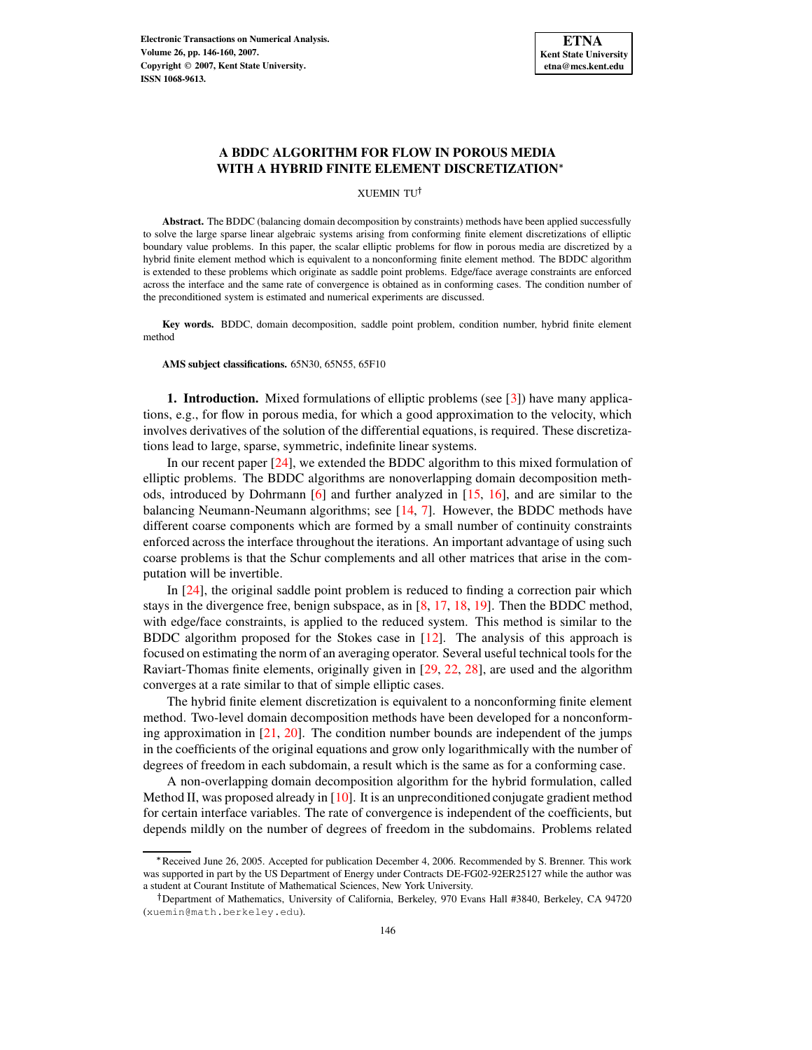

# **A BDDC ALGORITHM FOR FLOW IN POROUS MEDIA WITH A HYBRID FINITE ELEMENT DISCRETIZATION**

XUEMIN TU

**Abstract.** The BDDC (balancing domain decomposition by constraints) methods have been applied successfully to solve the large sparse linear algebraic systems arising from conforming finite element discretizations of elliptic boundary value problems. In this paper, the scalar elliptic problems for flow in porous media are discretized by a hybrid finite element method which is equivalent to a nonconforming finite element method. The BDDC algorithm is extended to these problems which originate as saddle point problems. Edge/face average constraints are enforced across the interface and the same rate of convergence is obtained as in conforming cases. The condition number of the preconditioned system is estimated and numerical experiments are discussed.

**Key words.** BDDC, domain decomposition, saddle point problem, condition number, hybrid finite element method

**AMS subject classifications.** 65N30, 65N55, 65F10

**1. Introduction.** Mixed formulations of elliptic problems (see [\[3\]](#page-13-0)) have many applications, e.g., for flow in porous media, for which a good approximation to the velocity, which involves derivatives of the solution of the differential equations, is required. These discretizations lead to large, sparse, symmetric, indefinite linear systems.

In our recent paper [\[24\]](#page-14-0), we extended the BDDC algorithm to this mixed formulation of elliptic problems. The BDDC algorithms are nonoverlapping domain decomposition methods, introduced by Dohrmann [\[6\]](#page-13-1) and further analyzed in [\[15,](#page-14-1) [16\]](#page-14-2), and are similar to the balancing Neumann-Neumann algorithms; see [\[14,](#page-14-3) [7\]](#page-13-2). However, the BDDC methods have different coarse components which are formed by a small number of continuity constraints enforced across the interface throughout the iterations. An important advantage of using such coarse problems is that the Schur complements and all other matrices that arise in the computation will be invertible.

In [\[24\]](#page-14-0), the original saddle point problem is reduced to finding a correction pair which stays in the divergence free, benign subspace, as in [\[8,](#page-13-3) [17,](#page-14-4) [18,](#page-14-5) [19\]](#page-14-6). Then the BDDC method, with edge/face constraints, is applied to the reduced system. This method is similar to the BDDC algorithm proposed for the Stokes case in [\[12\]](#page-14-7). The analysis of this approach is focused on estimating the norm of an averaging operator. Several useful technical tools for the Raviart-Thomas finite elements, originally given in [\[29,](#page-14-8) [22,](#page-14-9) [28\]](#page-14-10), are used and the algorithm converges at a rate similar to that of simple elliptic cases.

The hybrid finite element discretization is equivalent to a nonconforming finite element method. Two-level domain decomposition methods have been developed for a nonconforming approximation in  $[21, 20]$  $[21, 20]$  $[21, 20]$ . The condition number bounds are independent of the jumps in the coefficients of the original equations and grow only logarithmically with the number of degrees of freedom in each subdomain, a result which is the same as for a conforming case.

A non-overlapping domain decomposition algorithm for the hybrid formulation, called Method II, was proposed already in [\[10\]](#page-14-13). It is an unpreconditioned conjugate gradient method for certain interface variables. The rate of convergence is independent of the coefficients, but depends mildly on the number of degrees of freedom in the subdomains. Problems related

Received June 26, 2005. Accepted for publication December 4, 2006. Recommended by S. Brenner. This work was supported in part by the US Department of Energy under Contracts DE-FG02-92ER25127 while the author was a student at Courant Institute of Mathematical Sciences, New York University.

<sup>&</sup>lt;sup>†</sup> Department of Mathematics, University of California, Berkeley, 970 Evans Hall #3840, Berkeley, CA 94720 (xuemin@math.berkeley.edu).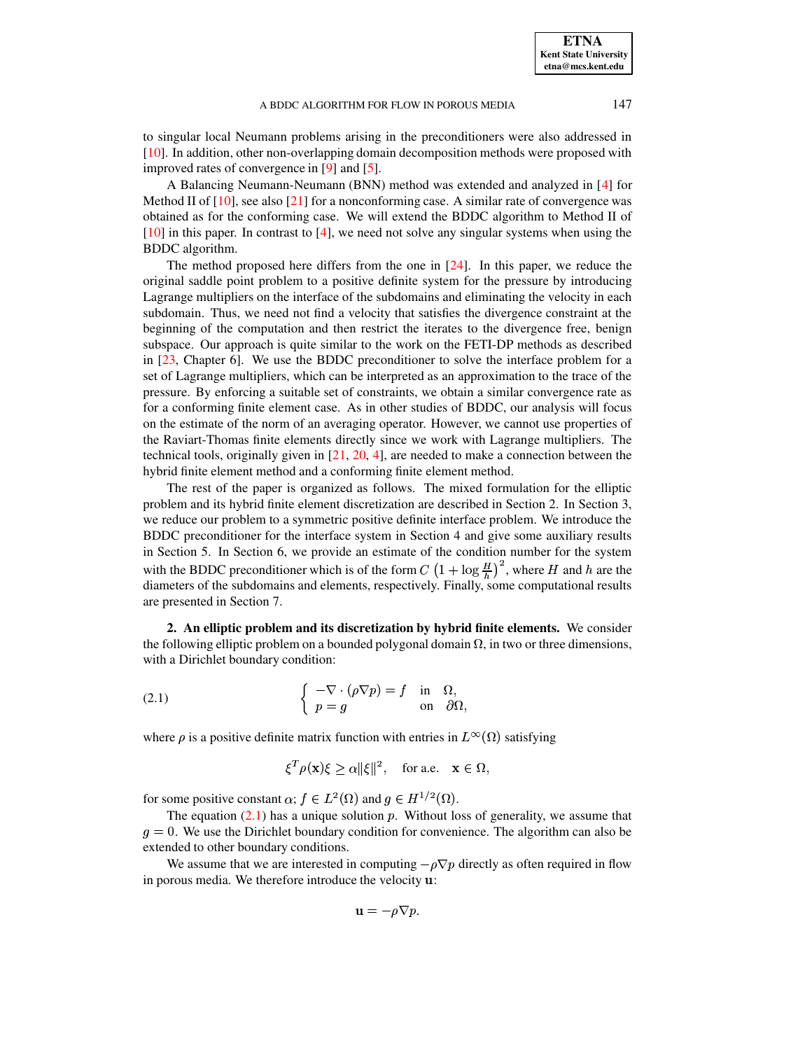**ETNA Kent State University etna@mcs.kent.edu**

to singular local Neumann problems arising in the preconditioners were also addressed in [\[10\]](#page-14-13). In addition, other non-overlapping domain decomposition methods were proposed with improved rates of convergence in [\[9\]](#page-14-14) and [\[5\]](#page-13-4).

A Balancing Neumann-Neumann (BNN) method was extended and analyzed in [\[4\]](#page-13-5) for Method II of  $[10]$ , see also  $[21]$  for a nonconforming case. A similar rate of convergence was obtained as for the conforming case. We will extend the BDDC algorithm to Method II of  $[10]$  in this paper. In contrast to  $[4]$ , we need not solve any singular systems when using the BDDC algorithm.

The method proposed here differs from the one in  $[24]$ . In this paper, we reduce the original saddle point problem to a positive definite system for the pressure by introducing Lagrange multipliers on the interface of the subdomains and eliminating the velocity in each subdomain. Thus, we need not find a velocity that satisfies the divergence constraint at the beginning of the computation and then restrict the iterates to the divergence free, benign subspace. Our approach is quite similar to the work on the FETI-DP methods as described in [\[23,](#page-14-15) Chapter 6]. We use the BDDC preconditioner to solve the interface problem for a set of Lagrange multipliers, which can be interpreted as an approximation to the trace of the pressure. By enforcing a suitable set of constraints, we obtain a similar convergence rate as for a conforming finite element case. As in other studies of BDDC, our analysis will focus on the estimate of the norm of an averaging operator. However, we cannot use properties of the Raviart-Thomas finite elements directly since we work with Lagrange multipliers. The technical tools, originally given in  $[21, 20, 4]$  $[21, 20, 4]$  $[21, 20, 4]$  $[21, 20, 4]$  $[21, 20, 4]$ , are needed to make a connection between the hybrid finite element method and a conforming finite element method.

The rest of the paper is organized as follows. The mixed formulation for the elliptic problem and its hybrid finite element discretization are described in Section 2. In Section 3, we reduce our problem to a symmetric positive definite interface problem. We introduce the BDDC preconditioner for the interface system in Section 4 and give some auxiliary results in Section 5. In Section 6, we provide an estimate of the condition number for the system with the BDDC preconditioner which is of the form  $C\left(1+\log\frac{H}{h}\right)^2$ , where H and h are the diameters of the subdomains and elements, respectively. Finally, some computational results are presented in Section 7.

**2. An elliptic problem and its discretization by hybrid finite elements.** We consider the following elliptic problem on a bounded polygonal domain  $\Omega$ , in two or three dimensions, with a Dirichlet boundary condition:

<span id="page-1-0"></span>(2.1) 
$$
\begin{cases} -\nabla \cdot (\rho \nabla p) = f & \text{in } \Omega, \\ p = g & \text{on } \partial \Omega, \end{cases}
$$

where  $\rho$  is a positive definite matrix function with entries in  $L^{\infty}(\Omega)$  satisfying

$$
\xi^T \rho(\mathbf{x}) \xi \ge \alpha \|\xi\|^2, \quad \text{for a.e.} \quad \mathbf{x} \in \Omega,
$$

for some positive constant  $\alpha$ ;  $f \in L^2(\Omega)$  and  $g \in H^{1/2}(\Omega)$ .

The equation  $(2.1)$  has a unique solution p. Without loss of generality, we assume that  $g = 0$ . We use the Dirichlet boundary condition for convenience. The algorithm can also be extended to other boundary conditions.

We assume that we are interested in computing  $-\rho \nabla p$  directly as often required in flow in porous media. We therefore introduce the velocity **u**:

$$
\mathbf{u}=-\rho\nabla p.
$$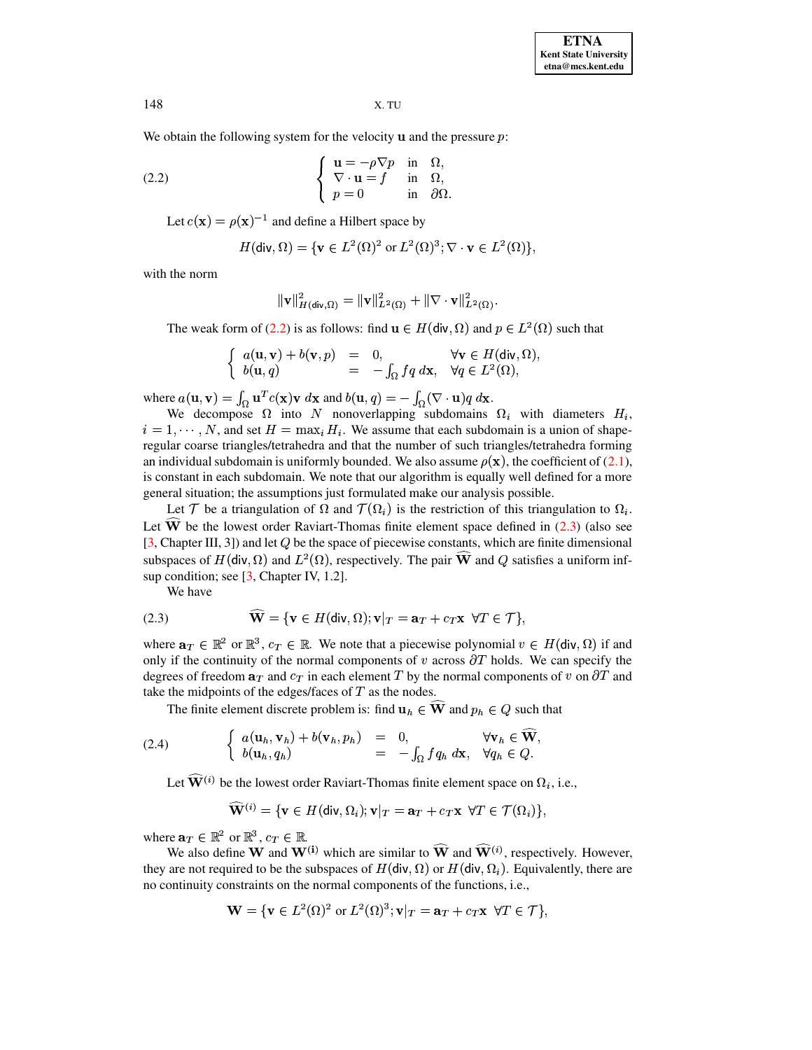We obtain the following system for the velocity  $\bf{u}$  and the pressure  $\bf{p}$ :

(2.2) 
$$
\begin{cases} \mathbf{u} = -\rho \nabla p & \text{in } \Omega, \\ \nabla \cdot \mathbf{u} = f & \text{in } \Omega, \\ p = 0 & \text{in } \partial \Omega. \end{cases}
$$

Let  $c(\mathbf{x}) = \rho(\mathbf{x})^{-1}$  and define a Hilbert space by

<span id="page-2-0"></span>
$$
H(\mathsf{div}, \Omega) = \{ \mathbf{v} \in L^2(\Omega)^2 \text{ or } L^2(\Omega)^3; \nabla \cdot \mathbf{v} \in L^2(\Omega) \},
$$

with the norm

$$
\|{\bf v}\|^2_{H(\mathsf{div},\Omega)} = \|{\bf v}\|^2_{L^2(\Omega)} + \|\nabla\cdot {\bf v}\|^2_{L^2(\Omega)}.
$$

The weak form of [\(2.2\)](#page-2-0) is as follows: find  $\mathbf{u} \in H(\text{div}, \Omega)$  and  $p \in L^2(\Omega)$  such that

$$
\begin{cases}\n a(\mathbf{u}, \mathbf{v}) + b(\mathbf{v}, p) &= 0, & \forall \mathbf{v} \in H(\text{div}, \Omega), \\
 b(\mathbf{u}, q) &= -\int_{\Omega} f q \, d\mathbf{x}, & \forall q \in L^{2}(\Omega),\n\end{cases}
$$

where  $a(\mathbf{u}, \mathbf{v}) = \int_{\Omega} \mathbf{u}^T c(\mathbf{x}) \mathbf{v} d\mathbf{x}$  and  $b(\mathbf{u}, q) = -\int_{\Omega} (\nabla \cdot \mathbf{u}) q d\mathbf{x}$ .

We decompose  $\Omega$  into N nonoverlapping subdomains  $\Omega_i$  with diameters  $H_i$ ,  $i = 1, \dots, N$ , and set  $H = \max_i H_i$ . We assume that each subdomain is a union of shape regular coarse triangles/tetrahedra and that the number of such triangles/tetrahedra forming an individual subdomain is uniformly bounded. We also assume  $\rho(\mathbf{x})$ , the coefficient of [\(2.1\)](#page-1-0), is constant in each subdomain. We note that our algorithm is equally well defined for a more general situation; the assumptions just formulated make our analysis possible.

Let T be a triangulation of  $\Omega$  and  $\mathcal{T}(\Omega_i)$  is the restriction of this triangulation to  $\Omega_i$ . Let  $\widehat{W}$  be the lowest order Raviart-Thomas finite element space defined in  $(2.3)$  (also see [\[3,](#page-13-0) Chapter III, 3]) and let  $Q$  be the space of piecewise constants, which are finite dimensional subspaces of  $H(\text{div}, \Omega)$  and  $L^2(\Omega)$ , respectively. The pair **W** and Q satisfies a uniform infsup condition; see  $[3,$  Chapter IV, 1.2].

We have

<span id="page-2-1"></span>(2.3) 
$$
\widehat{\mathbf{W}} = \{ \mathbf{v} \in H(\text{div}, \Omega); \mathbf{v}|_T = \mathbf{a}_T + c_T \mathbf{x} \ \forall T \in \mathcal{T} \},
$$

where  $\mathbf{a}_T \in \mathbb{R}^2$  or  $\mathbb{R}^3$ ,  $c_T \in \mathbb{R}$ . We note that a piecewise polynomial  $v \in H(\text{div}, \Omega)$  if and only if the continuity of the normal components of  $v$  across  $\partial T$  holds. We can specify the degrees of freedom  $a_T$  and  $c_T$  in each element T by the normal components of v on  $\partial T$  and take the midpoints of the edges/faces of  $T$  as the nodes.

The finite element discrete problem is: find  $\mathbf{u}_h \in \mathbf{W}$  and  $p_h \in Q$  such that

(2.4) 
$$
\begin{cases} a(\mathbf{u}_h, \mathbf{v}_h) + b(\mathbf{v}_h, p_h) = 0, & \forall \mathbf{v}_h \in \widehat{\mathbf{W}}, \\ b(\mathbf{u}_h, q_h) = -\int_{\Omega} f q_h \, d\mathbf{x}, & \forall q_h \in Q. \end{cases}
$$

Let  $W^{(i)}$  be the lowest order Raviart-Thomas finite element space on  $\Omega_i$ , i.e.,

$$
\widehat{\mathbf{W}}^{(i)} = \{\mathbf{v} \in H(\text{div}, \Omega_i); \mathbf{v}|_T = \mathbf{a}_T + c_T \mathbf{x} \ \ \forall T \in \mathcal{T}(\Omega_i)\},
$$

<span id="page-2-2"></span><sup>+</sup>

where  $\mathbf{a}_T \in \mathbb{R}^2$  or  $\mathbb{R}^3$ ,  $c_T \in \mathbb{R}$ .

We also define **W** and **W**<sup>(i)</sup> which are similar to  $\widehat{W}$  and  $\widehat{W}^{(i)}$ , respectively. However, they are not required to be the subspaces of  $H(\text{div}, \Omega)$  or  $H(\text{div}, \Omega_i)$ . Equivalently, there are no continuity constraints on the normal components of the functions, i.e.,

$$
\mathbf{W} = \{ \mathbf{v} \in L^2(\Omega)^2 \text{ or } L^2(\Omega)^3; \mathbf{v}|_T = \mathbf{a}_T + c_T \mathbf{x} \ \forall T \in \mathcal{T} \},
$$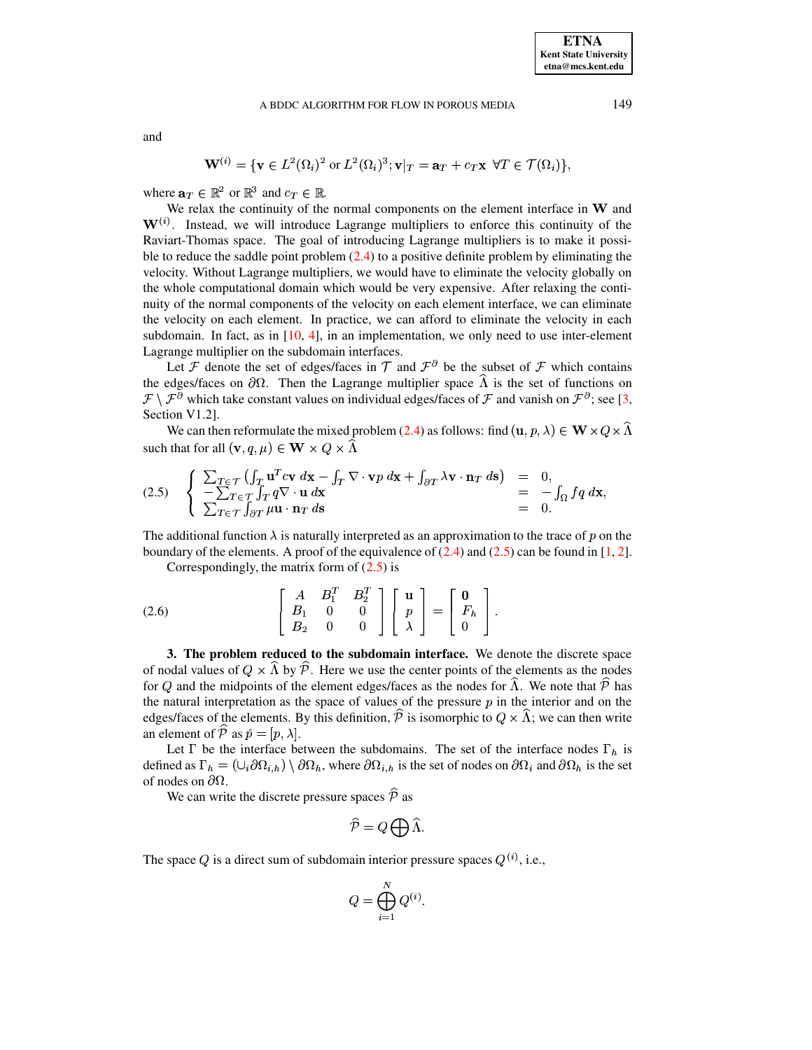and

$$
\mathbf{W}^{(i)} = \{ \mathbf{v} \in L^2(\Omega_i)^2 \text{ or } L^2(\Omega_i)^3; \mathbf{v}|_T = \mathbf{a}_T + c_T \mathbf{x} \ \forall T \in \mathcal{T}(\Omega_i) \},
$$

where  $\mathbf{a}_T \in \mathbb{R}^2$  or  $\mathbb{R}^3$  and  $c_T \in \mathbb{R}$ .

We relax the continuity of the normal components on the element interface in W and  $W^{(i)}$ . Instead, we will introduce Lagrange multipliers to enforce this continuity of the Raviart-Thomas space. The goal of introducing Lagrange multipliers is to make it possible to reduce the saddle point problem [\(2.4\)](#page-2-2) to a positive definite problem by eliminating the velocity. Without Lagrange multipliers, we would have to eliminate the velocity globally on the whole computational domain which would be very expensive. After relaxing the continuity of the normal components of the velocity on each element interface, we can eliminate the velocity on each element. In practice, we can afford to eliminate the velocity in each subdomain. In fact, as in  $[10, 4]$  $[10, 4]$  $[10, 4]$ , in an implementation, we only need to use inter-element Lagrange multiplier on the subdomain interfaces.

Let F denote the set of edges/faces in  $\mathcal T$  and  $\mathcal F^{\partial}$  be the subset of F which contains the edges/faces on  $\partial\Omega$ . Then the Lagrange multiplier space  $\Lambda$  is the set of functions on  $\mathcal{F}\setminus\mathcal{F}^\partial$  which take constant values on individual edges/faces of  $\mathcal F$  and vanish on  $\mathcal F^\partial$ ; see [\[3,](#page-13-0) Section V1.2].

<span id="page-3-0"></span>We can then reformulate the mixed problem [\(2.4\)](#page-2-2) as follows: find  $(\mathbf{u}, p, \lambda) \in \mathbf{W} \times Q \times \Lambda$ such that for all  $(\mathbf{v}, q, \mu) \in \mathbf{W} \times Q \times \Lambda$ 

(2.5) 
$$
\begin{cases} \sum_{T \in \mathcal{T}} \left( \int_T \mathbf{u}^T c \mathbf{v} \, d\mathbf{x} - \int_T \nabla \cdot \mathbf{v} p \, d\mathbf{x} + \int_{\partial T} \lambda \mathbf{v} \cdot \mathbf{n}_T \, d\mathbf{s} \right) = 0, \\ -\sum_{T \in \mathcal{T}} \int_T q \nabla \cdot \mathbf{u} \, d\mathbf{x} \\ \sum_{T \in \mathcal{T}} \int_{\partial T} \mu \mathbf{u} \cdot \mathbf{n}_T \, d\mathbf{s} = 0. \end{cases}
$$

The additional function  $\lambda$  is naturally interpreted as an approximation to the trace of p on the boundary of the elements. A proof of the equivalence of  $(2.4)$  and  $(2.5)$  can be found in [\[1,](#page-13-6) [2\]](#page-13-7).

<span id="page-3-1"></span>Correspondingly, the matrix form of  $(2.5)$  is

(2.6) 
$$
\begin{bmatrix} A & B_1^T & B_2^T \ B_1 & 0 & 0 \ B_2 & 0 & 0 \end{bmatrix} \begin{bmatrix} \mathbf{u} \\ p \\ \lambda \end{bmatrix} = \begin{bmatrix} \mathbf{0} \\ F_h \\ 0 \end{bmatrix}.
$$

**3. The problem reduced to the subdomain interface.** We denote the discrete space of nodal values of  $Q \times \Lambda$  by  $P$ . Here we use the center points of the elements as the nodes for Q and the midpoints of the element edges/faces as the nodes for  $\Lambda$ . We note that  $\mathcal P$  has the natural interpretation as the space of values of the pressure  $p$  in the interior and on the edges/faces of the elements. By this definition, P is isomorphic to  $Q \times \Lambda$ ; we can then write an element of  $P$  as  $\hat{p} = [p, \lambda]$ .

Let  $\Gamma$  be the interface between the subdomains. The set of the interface nodes  $\Gamma_h$  is defined as  $\Gamma_h = (\cup_i \partial \Omega_{i,h}) \setminus \partial \Omega_h$ , where  $\partial \Omega_{i,h}$  is the set of nodes on  $\partial \Omega_i$  and  $\partial \Omega_h$  is the set of nodes on  $\partial\Omega$ .

We can write the discrete pressure spaces  $P$  as

$$
\widehat{\mathcal{P}} = Q \bigoplus \widehat{\Lambda}.
$$

The space Q is a direct sum of subdomain interior pressure spaces  $Q^{(i)}$ , i.e.,

$$
Q = \bigoplus_{i=1}^N Q^{(i)}.
$$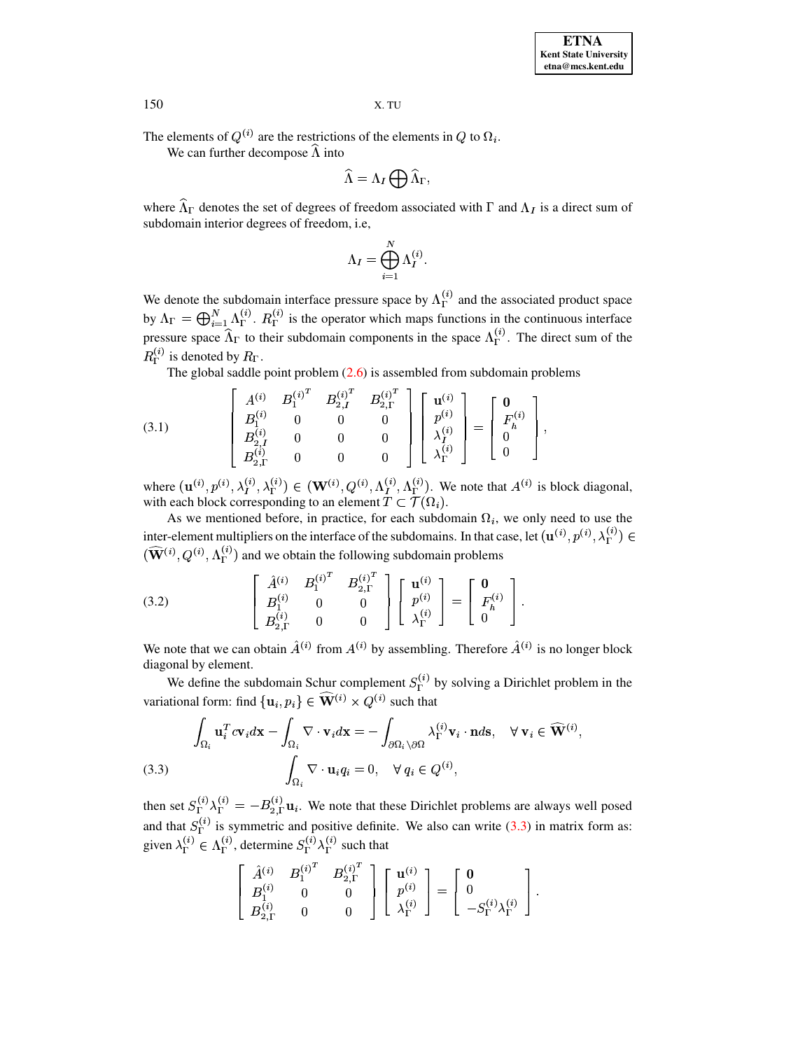The elements of  $Q^{(i)}$  are the restrictions of the elements in Q to  $\Omega_i$ .

We can further decompose  $\Lambda$  into

$$
\widehat{\Lambda} = \Lambda_I \bigoplus \widehat{\Lambda}_\Gamma,
$$

where  $\widehat{\Lambda}_{\Gamma}$  denotes the set of degrees of freedom associated with  $\Gamma$  and  $\Lambda_I$  is a direct sum of subdomain interior degrees of freedom, i.e.

<span id="page-4-1"></span>
$$
\Lambda_I = \bigoplus_{i=1}^N \Lambda_I^{(i)}.
$$

We denote the subdomain interface pressure space by  $\Lambda_{\Gamma}^{(i)}$  and the associated product space by  $\Lambda_{\Gamma} = \bigoplus_{i=1}^{N} \Lambda_{\Gamma}^{(i)}$ .  $R_{\Gamma}^{(i)}$  is the operator which maps functions in the continuous interface pressure space  $\widehat{\Lambda}_{\Gamma}$  to their subdomain components in the space  $\Lambda_{\Gamma}^{(i)}$ . The direct sum of the  $R_{\Gamma}^{(i)}$  is denoted by  $R_{\Gamma}$ .

The global saddle point problem  $(2.6)$  is assembled from subdomain problems

(3.1) 
$$
\begin{bmatrix} A^{(i)} & B_1^{(i)^T} & B_{2,I}^{(i)^T} & B_{2,\Gamma}^{(i)^T} \\ B_1^{(i)} & 0 & 0 & 0 \\ B_{2,I}^{(i)} & 0 & 0 & 0 \\ B_{2,\Gamma}^{(i)} & 0 & 0 & 0 \end{bmatrix} \begin{bmatrix} \mathbf{u}^{(i)} \\ p^{(i)} \\ \lambda_I^{(i)} \\ \lambda_\Gamma^{(i)} \end{bmatrix} = \begin{bmatrix} \mathbf{0} \\ F_h^{(i)} \\ 0 \\ 0 \end{bmatrix},
$$

where  $(\mathbf{u}^{(i)}, p^{(i)}, \lambda_I^{(i)}, \lambda_\Gamma^{(i)}) \in (\mathbf{W}^{(i)}, Q^{(i)}, \Lambda_I^{(i)}, \Lambda_\Gamma^{(i)})$ . We note that  $A^{(i)}$  is block diagonal, with each block corresponding to an element  $T \subset \mathcal{T}(\Omega_i)$ .

As we mentioned before, in practice, for each subdomain  $\Omega_i$ , we only need to use the inter-element multipliers on the interface of the subdomains. In that case, let  $(\mathbf{u}^{(i)}, p^{(i)}, \lambda_{\Gamma}^{(i)}) \in$  $(\widehat{\mathbf{W}}^{(i)}, Q^{(i)}, \Lambda_{\Gamma}^{(i)})$  and we obtain the following subdomain problems

<span id="page-4-2"></span>(3.2) 
$$
\begin{bmatrix} \hat{A}^{(i)} & B_1^{(i)^T} & B_{2,\Gamma}^{(i)^T} \\ B_1^{(i)} & 0 & 0 \\ B_{2,\Gamma}^{(i)} & 0 & 0 \end{bmatrix} \begin{bmatrix} \mathbf{u}^{(i)} \\ p^{(i)} \\ \lambda_{\Gamma}^{(i)} \end{bmatrix} = \begin{bmatrix} \mathbf{0} \\ F_h^{(i)} \\ 0 \end{bmatrix}
$$

We note that we can obtain  $\hat{A}^{(i)}$  from  $A^{(i)}$  by assembling. Therefore  $\hat{A}^{(i)}$  is no longer block diagonal by element.

We define the subdomain Schur complement  $S_{\Gamma}^{(i)}$  by solving a Dirichlet problem in the variational form: find  $\{u_i, p_i\} \in \widehat{W}^{(i)} \times Q^{(i)}$  such that

<span id="page-4-0"></span>
$$
\int_{\Omega_i} \mathbf{u}_i^T c \mathbf{v}_i d\mathbf{x} - \int_{\Omega_i} \nabla \cdot \mathbf{v}_i d\mathbf{x} = -\int_{\partial \Omega_i \setminus \partial \Omega} \lambda_{\Gamma}^{(i)} \mathbf{v}_i \cdot \mathbf{n} d\mathbf{s}, \quad \forall \ \mathbf{v}_i \in \widehat{\mathbf{W}}^{(i)}
$$
\n
$$
\int_{\Omega_i} \nabla \cdot \mathbf{u}_i q_i = 0, \quad \forall \ q_i \in Q^{(i)},
$$

then set  $S_{\Gamma}^{(i)} \lambda_{\Gamma}^{(i)} = -B_{2,\Gamma}^{(i)} \mathbf{u}_i$ . We note that these Dirichlet problems are always well posed and that  $S_{\Gamma}^{(i)}$  is symmetric and positive definite. We also can write (3.3) in matrix form as: given  $\lambda_{\Gamma}^{(i)} \in \Lambda_{\Gamma}^{(i)}$ , determine  $S_{\Gamma}^{(i)} \lambda_{\Gamma}^{(i)}$  such that

$$
\left[\begin{array}{cc} \hat{A}^{(i)} & B^{(i)^T}_1 & B^{(i)^T}_{2,\Gamma} \\ B^{(i)}_1 & 0 & 0 \\ B^{(i)}_{2,\Gamma} & 0 & 0 \end{array}\right] \left[\begin{array}{c} \mathbf{u}^{(i)} \\ p^{(i)} \\ \lambda^{(i)}_{\Gamma} \end{array}\right] = \left[\begin{array}{c} \mathbf{0} \\ 0 \\ -S^{(i)}_{\Gamma}\lambda^{(i)}_{\Gamma} \end{array}\right].
$$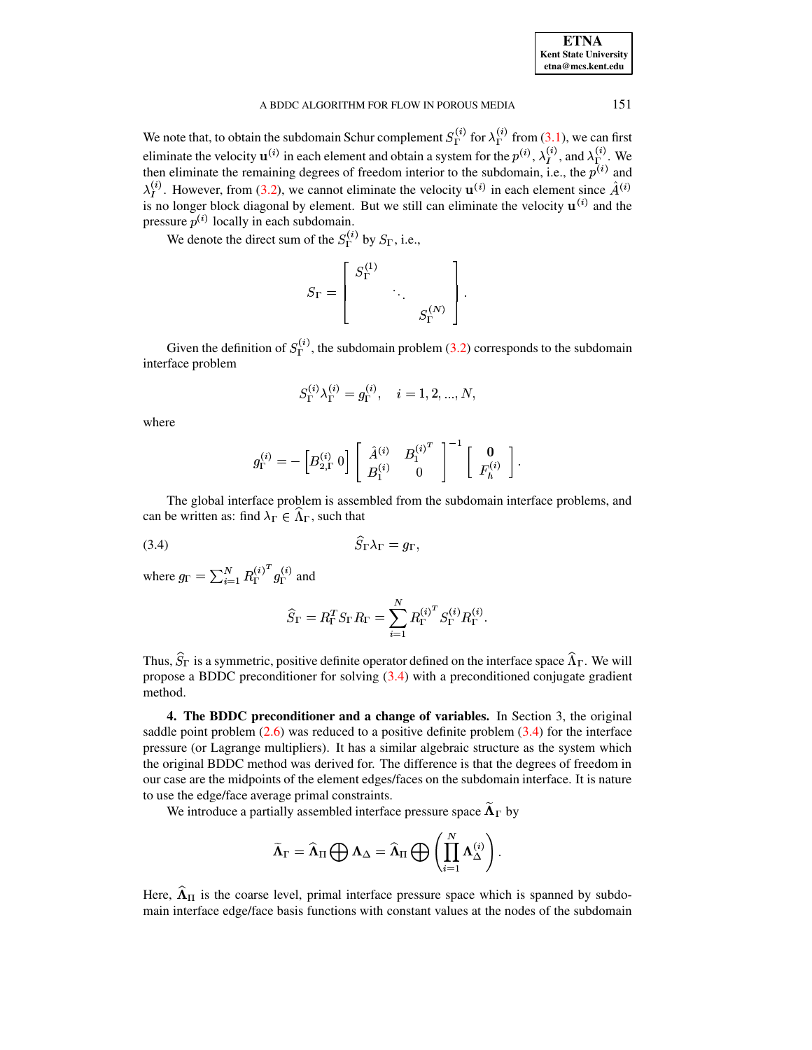| <b>ETNA</b>                  |
|------------------------------|
| <b>Kent State University</b> |
| etna@mcs.kent.edu            |

151

We note that, to obtain the subdomain Schur complement  $S_{\Gamma}^{(i)}$  for  $\lambda_{\Gamma}^{(i)}$  from (3.1), we can first eliminate the velocity  $\mathbf{u}^{(i)}$  in each element and obtain a system for the  $p^{(i)}$ ,  $\lambda_I^{(i)}$ , and  $\lambda_{\Gamma}^{(i)}$ . We then eliminate the remaining degrees of freedom interior to the subdomain, i.e., the  $p^{(i)}$  and  $\lambda_I^{(i)}$ . However, from (3.2), we cannot eliminate the velocity  $\mathbf{u}^{(i)}$  in each element since  $\hat{A}^{(i)}$ is no longer block diagonal by element. But we still can eliminate the velocity  $\mathbf{u}^{(i)}$  and the pressure  $p^{(i)}$  locally in each subdomain.

We denote the direct sum of the  $S_{\Gamma}^{(i)}$  by  $S_{\Gamma}$ , i.e.,

$$
S_{\Gamma} = \left[ \begin{array}{ccc} S_{\Gamma}^{(1)} & & \\ & \ddots & \\ & & S_{\Gamma}^{(N)} \end{array} \right]
$$

Given the definition of  $S_{\Gamma}^{(i)}$ , the subdomain problem (3.2) corresponds to the subdomain interface problem

$$
S_{\Gamma}^{(i)} \lambda_{\Gamma}^{(i)} = g_{\Gamma}^{(i)}, \quad i = 1, 2, ..., N,
$$

where

<span id="page-5-0"></span>
$$
g^{(i)}_\Gamma = -\left[B^{(i)}_{2,\Gamma}\ 0\right] \left[\begin{array}{cc} \hat A^{(i)} & {B_1^{(i)}}^T \\ B^{(i)}_1 & 0 \end{array}\right]^{-1} \left[\begin{array}{c} \mathbf{0} \\ F^{(i)}_h \end{array}\right].
$$

The global interface problem is assembled from the subdomain interface problems, and can be written as: find  $\lambda_{\Gamma} \in \Lambda_{\Gamma}$ , such that

$$
(3.4) \t\t S_{\Gamma} \lambda_{\Gamma} = g_{\Gamma}
$$

where  $g_{\Gamma} = \sum_{i=1}^{N} R_{\Gamma}^{(i)^{T}} g_{\Gamma}^{(i)}$  and

$$
\widehat{S}_{\Gamma} = R_{\Gamma}^T S_{\Gamma} R_{\Gamma} = \sum_{i=1}^N R_{\Gamma}^{(i)^T} S_{\Gamma}^{(i)} R_{\Gamma}^{(i)}.
$$

Thus,  $\hat{S}_{\Gamma}$  is a symmetric, positive definite operator defined on the interface space  $\hat{\Lambda}_{\Gamma}$ . We will propose a BDDC preconditioner for solving  $(3.4)$  with a preconditioned conjugate gradient method.

4. The BDDC preconditioner and a change of variables. In Section 3, the original saddle point problem  $(2.6)$  was reduced to a positive definite problem  $(3.4)$  for the interface pressure (or Lagrange multipliers). It has a similar algebraic structure as the system which the original BDDC method was derived for. The difference is that the degrees of freedom in our case are the midpoints of the element edges/faces on the subdomain interface. It is nature to use the edge/face average primal constraints.

We introduce a partially assembled interface pressure space  $\widetilde{\Lambda}_{\Gamma}$  by

$$
\widetilde{\Lambda}_{\Gamma} = \widehat{\Lambda}_{\Pi} \bigoplus \Lambda_{\Delta} = \widehat{\Lambda}_{\Pi} \bigoplus \left( \prod_{i=1}^{N} \Lambda_{\Delta}^{(i)} \right).
$$

Here,  $\hat{\Lambda}_{II}$  is the coarse level, primal interface pressure space which is spanned by subdomain interface edge/face basis functions with constant values at the nodes of the subdomain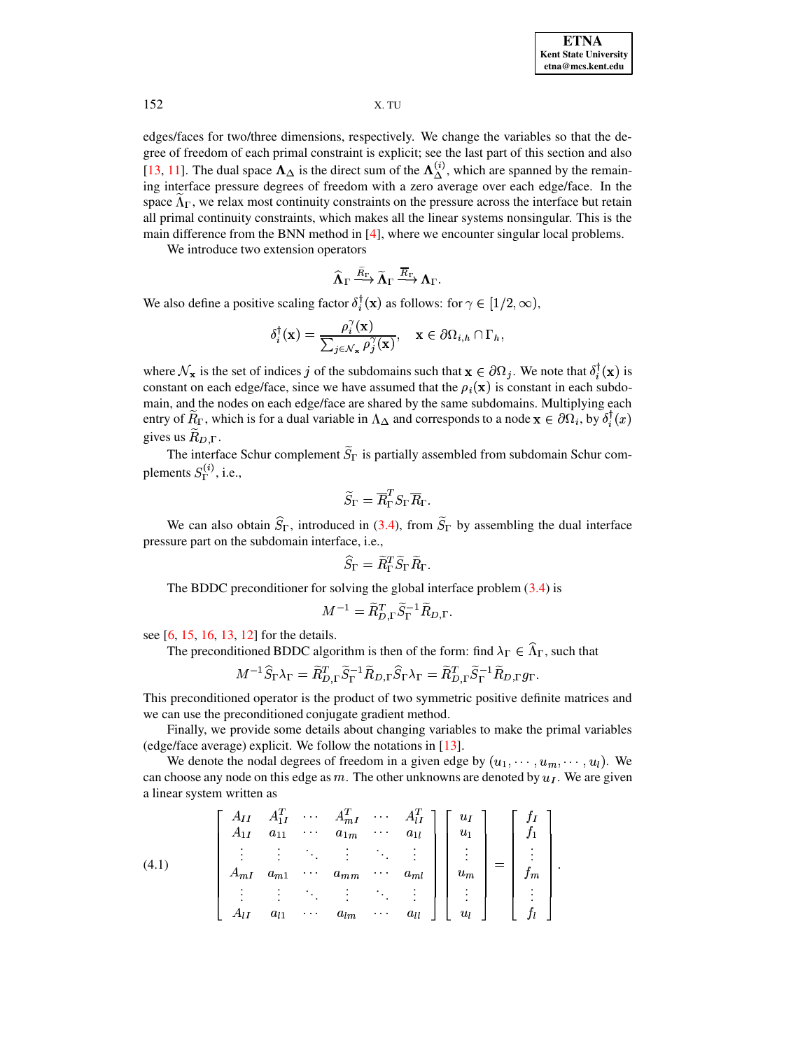edges/faces for two/three dimensions, respectively. We change the variables so that the degree of freedom of each primal constraint is explicit; see the last part of this section and also [13, 11]. The dual space  $\Lambda_{\Delta}$  is the direct sum of the  $\Lambda_{\Delta}^{(i)}$ , which are spanned by the remaining interface pressure degrees of freedom with a zero average over each edge/face. In the space  $\Lambda_{\Gamma}$ , we relax most continuity constraints on the pressure across the interface but retain all primal continuity constraints, which makes all the linear systems nonsingular. This is the main difference from the BNN method in  $[4]$ , where we encounter singular local problems.

We introduce two extension operators

$$
\widehat{\mathbf{\Lambda}}_{\Gamma} \stackrel{\widetilde{R}_{\Gamma}}{\longrightarrow} \widetilde{\mathbf{\Lambda}}_{\Gamma} \stackrel{\overline{R}_{\Gamma}}{\longrightarrow} \mathbf{\Lambda}_{\Gamma}.
$$

We also define a positive scaling factor  $\delta_i^{\dagger}(\mathbf{x})$  as follows: for  $\gamma \in [1/2, \infty)$ ,

$$
\delta_i^{\dagger}(\mathbf{x}) = \frac{\rho_i^{\gamma}(\mathbf{x})}{\sum_{j \in \mathcal{N}_{\mathbf{x}}} \rho_j^{\gamma}(\mathbf{x})}, \quad \mathbf{x} \in \partial \Omega_{i,h} \cap \Gamma_h,
$$

where  $\mathcal{N}_{\mathbf{x}}$  is the set of indices j of the subdomains such that  $\mathbf{x} \in \partial \Omega_j$ . We note that  $\delta_i^{\dagger}(\mathbf{x})$  is constant on each edge/face, since we have assumed that the  $\rho_i(\mathbf{x})$  is constant in each subdomain, and the nodes on each edge/face are shared by the same subdomains. Multiplying each entry of  $R_{\Gamma}$ , which is for a dual variable in  $\Lambda_{\Delta}$  and corresponds to a node  $\mathbf{x} \in \partial\Omega_i$ , by  $\delta_i^{\Gamma}(x)$ gives us  $R_{D,\Gamma}$ .

The interface Schur complement  $\widetilde{S}_{\Gamma}$  is partially assembled from subdomain Schur complements  $S_{\Gamma}^{(i)}$ , i.e.,

$$
\widetilde{S}_{\Gamma} = \overline{R}_{\Gamma}^{T} S_{\Gamma} \overline{R}_{\Gamma}.
$$

We can also obtain  $\hat{S}_{\Gamma}$ , introduced in (3.4), from  $\tilde{S}_{\Gamma}$  by assembling the dual interface pressure part on the subdomain interface, i.e.,

$$
\widehat{S}_{\Gamma} = \widetilde{R}_{\Gamma}^T \widetilde{S}_{\Gamma} \widetilde{R}_{\Gamma}.
$$

The BDDC preconditioner for solving the global interface problem  $(3.4)$  is

$$
M^{-1} = \widetilde{R}_{D,\Gamma}^T \widetilde{S}_{\Gamma}^{-1} \widetilde{R}_{D,\Gamma}.
$$

see [6, 15, 16, 13, 12] for the details.

The preconditioned BDDC algorithm is then of the form: find  $\lambda_{\Gamma} \in \widehat{\Lambda}_{\Gamma}$ , such that

$$
M^{-1}\widehat{S}_{\Gamma}\lambda_{\Gamma}=\widetilde{R}_{D,\Gamma}^T\widetilde{S}_{\Gamma}^{-1}\widetilde{R}_{D,\Gamma}\widehat{S}_{\Gamma}\lambda_{\Gamma}=\widetilde{R}_{D,\Gamma}^T\widetilde{S}_{\Gamma}^{-1}\widetilde{R}_{D,\Gamma}g_{\Gamma}.
$$

This preconditioned operator is the product of two symmetric positive definite matrices and we can use the preconditioned conjugate gradient method.

Finally, we provide some details about changing variables to make the primal variables (edge/face average) explicit. We follow the notations in  $[13]$ .

We denote the nodal degrees of freedom in a given edge by  $(u_1, \dots, u_m, \dots, u_l)$ . We can choose any node on this edge as m. The other unknowns are denoted by  $u<sub>I</sub>$ . We are given a linear system written as

<span id="page-6-0"></span>(4.1) 
$$
\begin{bmatrix} A_{II} & A_{1I}^T & \cdots & A_{mI}^T & \cdots & A_{lI}^T \\ A_{1I} & a_{11} & \cdots & a_{1m} & \cdots & a_{1l} \\ \vdots & \vdots & \ddots & \vdots & \ddots & \vdots \\ A_{mI} & a_{m1} & \cdots & a_{mm} & \cdots & a_{ml} \\ \vdots & \vdots & \ddots & \vdots & \ddots & \vdots \\ A_{lI} & a_{l1} & \cdots & a_{lm} & \cdots & a_{ll} \end{bmatrix} \begin{bmatrix} u_I \\ u_1 \\ \vdots \\ u_m \\ \vdots \\ u_l \end{bmatrix} = \begin{bmatrix} f_I \\ f_1 \\ \vdots \\ f_m \\ \vdots \\ f_l \end{bmatrix}
$$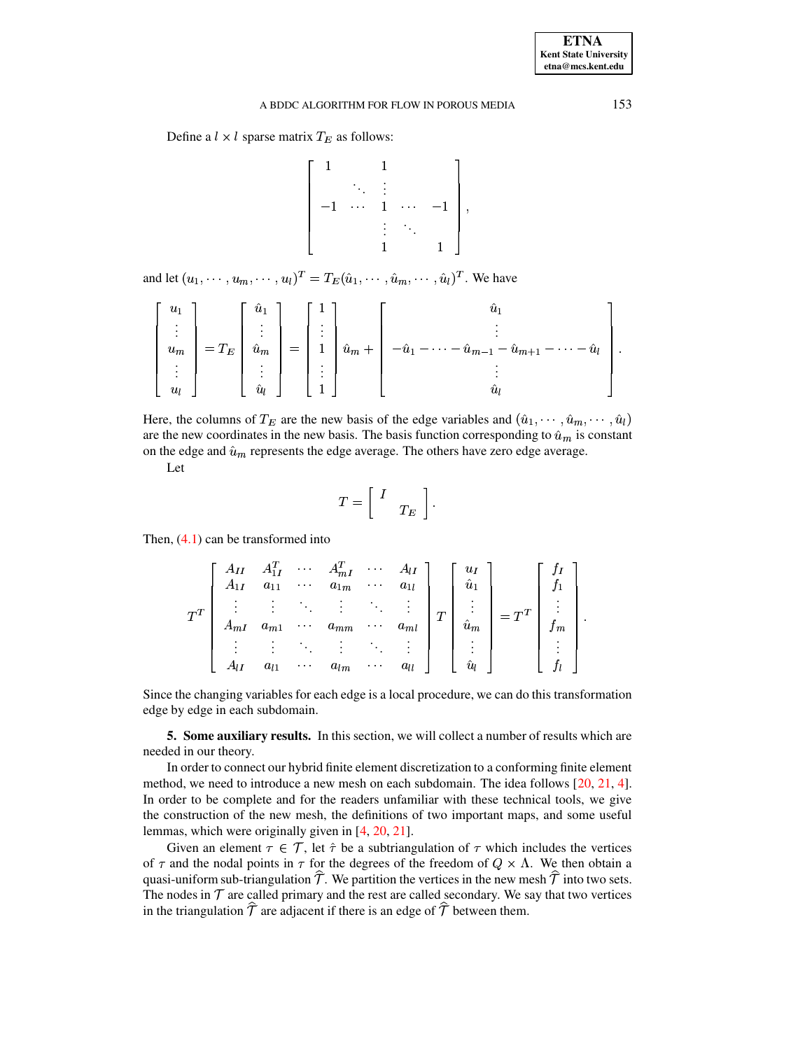Define a  $l \times l$  sparse matrix  $T_E$  as follows:

$$
\left[\begin{array}{ccccc} 1 & & 1 & & \\ & \ddots & \vdots & & \\ -1 & \cdots & 1 & \cdots & -1 \\ & & \vdots & \ddots & \\ & & 1 & & 1 \end{array}\right],
$$

and let  $(u_1, \dots, u_m, \dots, u_l)^T = T_E(\hat{u}_1, \dots, \hat{u}_m, \dots, \hat{u}_l)^T$ . We have

$$
\begin{bmatrix} u_1 \\ \vdots \\ u_m \\ \vdots \\ u_l \end{bmatrix} = T_E \begin{bmatrix} \hat{u}_1 \\ \vdots \\ \hat{u}_m \\ \vdots \\ \hat{u}_l \end{bmatrix} = \begin{bmatrix} 1 \\ \vdots \\ 1 \\ \vdots \\ 1 \end{bmatrix} \hat{u}_m + \begin{bmatrix} \hat{u}_1 \\ \vdots \\ -\hat{u}_1 - \cdots - \hat{u}_{m-1} - \hat{u}_{m+1} - \cdots - \hat{u}_l \\ \vdots \\ \hat{u}_l \end{bmatrix}.
$$

Here, the columns of  $T_E$  are the new basis of the edge variables and  $(\hat{u}_1, \dots, \hat{u}_m, \dots, \hat{u}_l)$ are the new coordinates in the new basis. The basis function corresponding to  $\hat{u}_m$  is constant on the edge and  $\hat{u}_m$  represents the edge average. The others have zero edge average.

Let

$$
T = \left[ \begin{array}{cc} I & \\ & T_E \end{array} \right].
$$

Then,  $(4.1)$  can be transformed into

$$
T^{T} \begin{bmatrix} A_{II} & A_{1I}^{T} & \cdots & A_{mI}^{T} & \cdots & A_{lI} \\ A_{1I} & a_{11} & \cdots & a_{1m} & \cdots & a_{1l} \\ \vdots & \vdots & \ddots & \vdots & \ddots & \vdots \\ A_{mI} & a_{m1} & \cdots & a_{mm} & \cdots & a_{ml} \\ \vdots & \vdots & \ddots & \vdots & \ddots & \vdots \\ A_{lI} & a_{l1} & \cdots & a_{lm} & \cdots & a_{ll} \end{bmatrix} T \begin{bmatrix} u_{I} \\ \hat{u}_{1} \\ \vdots \\ \hat{u}_{m} \\ \vdots \\ \hat{u}_{l} \end{bmatrix} = T^{T} \begin{bmatrix} f_{I} \\ f_{1} \\ \vdots \\ f_{m} \\ \vdots \\ f_{l} \end{bmatrix}
$$

Since the changing variables for each edge is a local procedure, we can do this transformation edge by edge in each subdomain.

5. Some auxiliary results. In this section, we will collect a number of results which are needed in our theory.

In order to connect our hybrid finite element discretization to a conforming finite element method, we need to introduce a new mesh on each subdomain. The idea follows [20, 21, 4]. In order to be complete and for the readers unfamiliar with these technical tools, we give the construction of the new mesh, the definitions of two important maps, and some useful lemmas, which were originally given in  $[4, 20, 21]$ .

Given an element  $\tau \in \mathcal{T}$ , let  $\hat{\tau}$  be a subtriangulation of  $\tau$  which includes the vertices of  $\tau$  and the nodal points in  $\tau$  for the degrees of the freedom of  $Q \times \Lambda$ . We then obtain a quasi-uniform sub-triangulation  $\mathcal T$ . We partition the vertices in the new mesh  $\mathcal T$  into two sets. The nodes in  $\mathcal T$  are called primary and the rest are called secondary. We say that two vertices in the triangulation  $\hat{\mathcal{T}}$  are adjacent if there is an edge of  $\hat{\mathcal{T}}$  between them.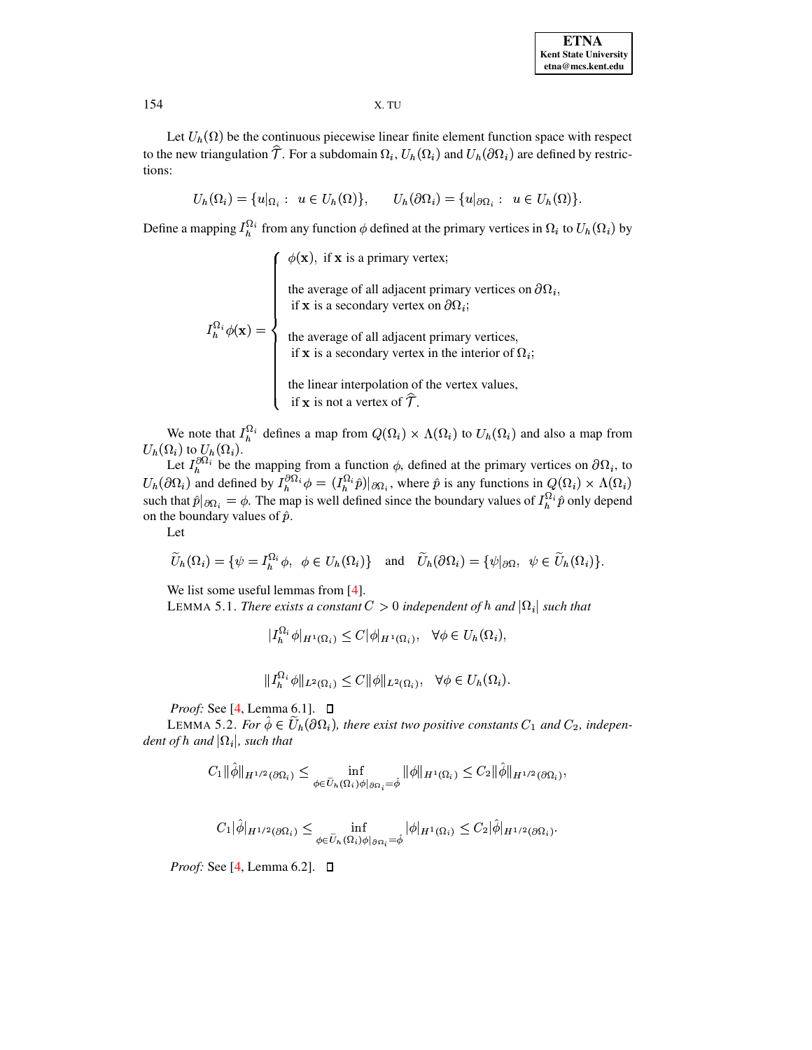Let  $U_h(\Omega)$  be the continuous piecewise linear finite element function space with respect to the new triangulation  $\hat{\mathcal{T}}$ . For a subdomain  $\Omega_i$ ,  $U_h(\Omega_i)$  and  $U_h(\partial \Omega_i)$  are defined by restrictions:

$$
U_h(\Omega_i) = \{u|_{\Omega_i}: u \in U_h(\Omega)\}, \qquad U_h(\partial \Omega_i) = \{u|_{\partial \Omega_i}: u \in U_h(\Omega)\}.
$$

Define a mapping  $I_h^{\Omega_i}$  from any function  $\phi$  defined at the primary vertices in  $\Omega_i$  to  $U_h(\Omega_i)$  by

 $I_n^{\Omega_i} \phi(\mathbf{x}) = \begin{cases} \phi(\mathbf{x}), & \text{if } \mathbf{x} \text{ is a primary vertex;} \\ & \text{the average of all adjacent primary vertices on } \partial \Omega_i, \\ & \text{if } \mathbf{x} \text{ is a secondary vertex on } \partial \Omega_i; \\ & \text{the average of all adjacent primary vertices, \\ & \text{if } \mathbf{x} \text{ is a secondary vertex in the interior of } \Omega_i; \\ & \text{the linear interpolation of the vertex values, \\ & \text{if } \mathbf{x} \text{ is not a vertex of } \hat{\mathcal{T}}. \end{cases}$ 

We note that  $I_h^{\Omega_i}$  defines a map from  $Q(\Omega_i) \times \Lambda(\Omega_i)$  to  $U_h(\Omega_i)$  and also a map from

 $U_h(\Omega_i)$  to  $U_h(\Omega_i)$ .<br>
Let  $I_h^{\partial \Omega_i}$  be the mapping from a function  $\phi$ , defined at the primary vertices on  $\partial \Omega_i$ , to  $U_h(\partial \Omega_i)$  and defined by  $I_h^{\partial \Omega_i} \phi = (I_h^{\Omega_i} \hat{p})|_{\partial \Omega_i}$ , where  $\hat{p}$  is any functions in on the boundary values of  $\hat{p}$ .

Let

$$
\widetilde{U}_h(\Omega_i) = \{ \psi = I_h^{\Omega_i} \phi, \ \phi \in U_h(\Omega_i) \} \quad \text{and} \quad \widetilde{U}_h(\partial \Omega_i) = \{ \psi |_{\partial \Omega}, \ \psi \in \widetilde{U}_h(\Omega_i) \}.
$$

We list some useful lemmas from  $[4]$ .

LEMMA 5.1. There exists a constant  $C > 0$  independent of h and  $|\Omega_i|$  such that

$$
|I_h^{\Omega_i} \phi|_{H^1(\Omega_i)} \le C |\phi|_{H^1(\Omega_i)}, \quad \forall \phi \in U_h(\Omega_i),
$$

$$
|I_h^{\Omega_i}\phi||_{L^2(\Omega_i)} \le C ||\phi||_{L^2(\Omega_i)}, \quad \forall \phi \in U_h(\Omega_i).
$$

*Proof:* See [4, Lemma 6.1].  $\Box$ 

LEMMA 5.2. For  $\hat{\phi} \in U_h(\partial \Omega_i)$ , there exist two positive constants  $C_1$  and  $C_2$ , independent of h and  $|\Omega_i|$ , such that

$$
C_1 \|\hat{\phi}\|_{H^{1/2}(\partial\Omega_i)} \leq \inf_{\phi \in \tilde{U}_h(\Omega_i)\phi|_{\partial\Omega_i}=\hat{\phi}} \|\phi\|_{H^1(\Omega_i)} \leq C_2 \|\hat{\phi}\|_{H^{1/2}(\partial\Omega_i)},
$$

$$
C_1|\hat{\phi}|_{H^{1/2}(\partial\Omega_i)} \leq \inf_{\phi \in \widetilde{U}_h(\Omega_i)\phi|_{\partial\Omega_i} = \hat{\phi}} |\phi|_{H^1(\Omega_i)} \leq C_2|\hat{\phi}|_{H^{1/2}(\partial\Omega_i)}
$$

*Proof:* See [4, Lemma 6.2].  $\Box$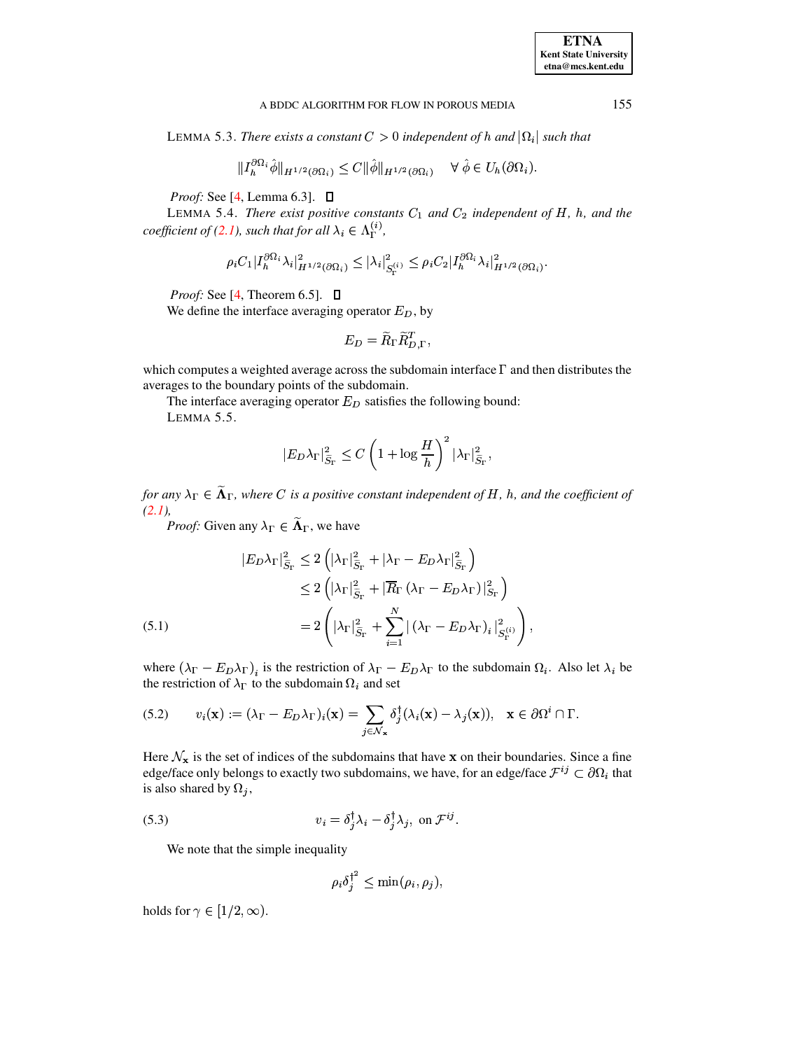<span id="page-9-2"></span>LEMMA 5.3. There exists a constant  $C > 0$  independent of h and  $|\Omega_i|$  such that

$$
|I_h^{\partial\Omega_i}\hat{\phi}\|_{H^{1/2}(\partial\Omega_i)} \leq C \|\hat{\phi}\|_{H^{1/2}(\partial\Omega_i)} \quad \forall \hat{\phi} \in U_h(\partial\Omega_i)
$$

*Proof:* See [4, Lemma 6.3].  $\Box$ 

<span id="page-9-0"></span>LEMMA 5.4. There exist positive constants  $C_1$  and  $C_2$  independent of H, h, and the coefficient of (2.1), such that for all  $\lambda_i \in \Lambda_{\Gamma}^{(i)}$ ,

$$
\rho_i C_1|I^{\partial\Omega_i}_h\lambda_i|^2_{H^{1/2}(\partial\Omega_i)}\leq |\lambda_i|^2_{S^{(i)}_\Gamma}\leq \rho_i C_2|I^{\partial\Omega_i}_h\lambda_i|^2_{H^{1/2}(\partial\Omega_i)}
$$

*Proof:* See [4, Theorem 6.5].  $\Box$ 

We define the interface averaging operator  $E_D$ , by

$$
E_D = \widetilde{R}_\Gamma \widetilde{R}_{D,\Gamma}^T,
$$

<span id="page-9-5"></span>which computes a weighted average across the subdomain interface  $\Gamma$  and then distributes the averages to the boundary points of the subdomain.

The interface averaging operator  $E_D$  satisfies the following bound: LEMMA 5.5.

$$
|E_D \lambda_\Gamma|_{\widetilde{S}_\Gamma}^2 \leq C \left(1 + \log \frac{H}{h}\right)^2 |\lambda_\Gamma|_{\widetilde{S}_\Gamma}^2,
$$

for any  $\lambda_{\Gamma} \in \widetilde{\Lambda}_{\Gamma}$ , where C is a positive constant independent of H, h, and the coefficient of  $(2.1)$ ,

*Proof:* Given any  $\lambda_{\Gamma} \in \widetilde{\Lambda}_{\Gamma}$ , we have

<span id="page-9-3"></span>(5.1)  
\n
$$
|E_D \lambda_{\Gamma}|_{\widetilde{S}_{\Gamma}}^2 \leq 2 \left( |\lambda_{\Gamma}|_{\widetilde{S}_{\Gamma}}^2 + |\lambda_{\Gamma} - E_D \lambda_{\Gamma}|_{\widetilde{S}_{\Gamma}}^2 \right)
$$
\n
$$
\leq 2 \left( |\lambda_{\Gamma}|_{\widetilde{S}_{\Gamma}}^2 + |\overline{R}_{\Gamma} (\lambda_{\Gamma} - E_D \lambda_{\Gamma})|_{S_{\Gamma}}^2 \right)
$$
\n
$$
= 2 \left( |\lambda_{\Gamma}|_{\widetilde{S}_{\Gamma}}^2 + \sum_{i=1}^N |(\lambda_{\Gamma} - E_D \lambda_{\Gamma})_i|_{S_{\Gamma}}^2 \right),
$$

<span id="page-9-4"></span>where  $(\lambda_{\Gamma} - E_D \lambda_{\Gamma})_i$  is the restriction of  $\lambda_{\Gamma} - E_D \lambda_{\Gamma}$  to the subdomain  $\Omega_i$ . Also let  $\lambda_i$  be the restriction of  $\lambda_{\Gamma}$  to the subdomain  $\Omega_i$  and set

(5.2) 
$$
v_i(\mathbf{x}) := (\lambda_{\Gamma} - E_D \lambda_{\Gamma})_i(\mathbf{x}) = \sum_{j \in \mathcal{N}_{\mathbf{x}}} \delta_j^{\dagger} (\lambda_i(\mathbf{x}) - \lambda_j(\mathbf{x})), \quad \mathbf{x} \in \partial \Omega^i \cap \Gamma.
$$

Here  $\mathcal{N}_{\mathbf{x}}$  is the set of indices of the subdomains that have x on their boundaries. Since a fine edge/face only belongs to exactly two subdomains, we have, for an edge/face  $\mathcal{F}^{ij} \subset \partial \Omega_i$  that is also shared by  $\Omega_i$ ,

<span id="page-9-1"></span>(5.3) 
$$
v_i = \delta_j^{\dagger} \lambda_i - \delta_j^{\dagger} \lambda_j, \text{ on } \mathcal{F}^{ij}.
$$

We note that the simple inequality

$$
\rho_i \delta_j^{\dagger^2} \leq \min(\rho_i, \rho_j),
$$

holds for  $\gamma \in [1/2, \infty)$ .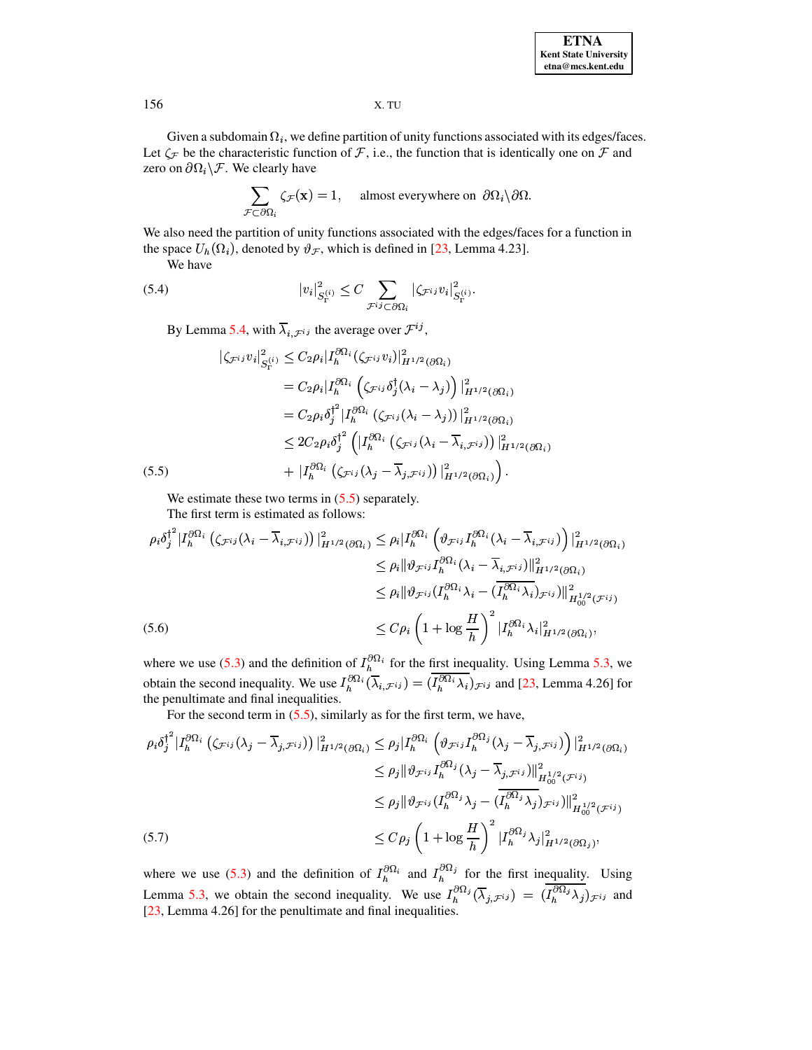Given a subdomain  $\Omega_i$ , we define partition of unity functions associated with its edges/faces. Let  $\zeta_{\mathcal{F}}$  be the characteristic function of  $\mathcal{F}$ , i.e., the function that is identically one on  $\mathcal{F}$  and zero on  $\partial\Omega_i\backslash\mathcal{F}$ . We clearly have

$$
\sum_{\mathcal{F}\subset\partial\Omega_i}\zeta_{\mathcal{F}}(\mathbf{x})=1, \quad \text{almost everywhere on }\partial\Omega_i\backslash\partial\Omega.
$$

We also need the partition of unity functions associated with the edges/faces for a function in the space  $U_h(\Omega_i)$ , denoted by  $\vartheta_{\mathcal{F}}$ , which is defined in [23, Lemma 4.23].

We have

<span id="page-10-3"></span>(5.4) 
$$
|v_i|^2_{S_{\Gamma}^{(i)}} \leq C \sum_{\mathcal{F}^{ij} \subset \partial \Omega_i} |\zeta_{\mathcal{F}^{ij}} v_i|^2_{S_{\Gamma}^{(i)}}
$$

By Lemma 5.4, with  $\overline{\lambda}_{i,\mathcal{F}^{ij}}$  the average over  $\mathcal{F}^{ij}$ ,

<span id="page-10-0"></span>
$$
\begin{split}\n&|\zeta_{\mathcal{F}^{ij}}v_i|_{S_{\Gamma}^{(i)}}^2 \leq C_2 \rho_i |I_h^{\partial \Omega_i}(\zeta_{\mathcal{F}^{ij}} v_i)|_{H^{1/2}(\partial \Omega_i)}^2 \\
&= C_2 \rho_i |I_h^{\partial \Omega_i} \left(\zeta_{\mathcal{F}^{ij}} \delta_j^\dagger(\lambda_i - \lambda_j)\right)|_{H^{1/2}(\partial \Omega_i)}^2 \\
&= C_2 \rho_i \delta_j^{\dagger^2} |I_h^{\partial \Omega_i} (\zeta_{\mathcal{F}^{ij}}(\lambda_i - \lambda_j))|_{H^{1/2}(\partial \Omega_i)}^2 \\
&\leq 2 C_2 \rho_i \delta_j^{\dagger^2} \left(|I_h^{\partial \Omega_i} \left(\zeta_{\mathcal{F}^{ij}}(\lambda_i - \overline{\lambda}_{i,\mathcal{F}^{ij}}\right)\right)|_{H^{1/2}(\partial \Omega_i)}^2 \\
&\quad + |I_h^{\partial \Omega_i} \left(\zeta_{\mathcal{F}^{ij}}(\lambda_j - \overline{\lambda}_{j,\mathcal{F}^{ij}})\right)|_{H^{1/2}(\partial \Omega_i)}^2\right).\n\end{split}
$$

We estimate these two terms in  $(5.5)$  separately.

The first term is estimated as follows:

<span id="page-10-1"></span>
$$
\rho_i \delta_j^{\dagger^2} |I_h^{\partial \Omega_i} \left( \zeta_{\mathcal{F}^{ij}} (\lambda_i - \overline{\lambda}_{i,\mathcal{F}^{ij}}) \right) |_{H^{1/2}(\partial \Omega_i)}^2 \leq \rho_i |I_h^{\partial \Omega_i} \left( \vartheta_{\mathcal{F}^{ij}} I_h^{\partial \Omega_i} (\lambda_i - \overline{\lambda}_{i,\mathcal{F}^{ij}}) \right) |_{H^{1/2}(\partial \Omega_i)}^2
$$
  
\n
$$
\leq \rho_i ||\vartheta_{\mathcal{F}^{ij}} I_h^{\partial \Omega_i} (\lambda_i - \overline{\lambda}_{i,\mathcal{F}^{ij}}) ||_{H^{1/2}(\partial \Omega_i)}^2
$$
  
\n
$$
\leq \rho_i ||\vartheta_{\mathcal{F}^{ij}} (I_h^{\partial \Omega_i} \lambda_i - (\overline{I_h^{\partial \Omega_i}} \lambda_i)_{\mathcal{F}^{ij}}) ||_{H^{1/2}(\mathcal{F}^{ij})}^2
$$
  
\n(5.6)  
\n
$$
\leq C \rho_i \left( 1 + \log \frac{H}{h} \right)^2 |I_h^{\partial \Omega_i} \lambda_i|_{H^{1/2}(\partial \Omega_i)}^2,
$$

where we use (5.3) and the definition of  $I_h^{\partial \Omega_i}$  for the first inequality. Using Lemma 5.3, we obtain the second inequality. We use  $I_h^{\partial \Omega_i}(\overline{\lambda}_{i,\mathcal{F}^{ij}}) = (\overline{I_h^{\partial \Omega_i} \lambda_i})_{\mathcal{F}^{ij}}$  and [23, Lemma 4.26] for the penultimate and final inequalities.

For the second term in  $(5.5)$ , similarly as for the first term, we have,

<span id="page-10-2"></span>
$$
\rho_i \delta_j^{\dagger^2} |I_h^{\partial \Omega_i} \left( \zeta_{\mathcal{F}^{ij}} (\lambda_j - \overline{\lambda}_{j,\mathcal{F}^{ij}}) \right) |_{H^{1/2}(\partial \Omega_i)}^2 \le \rho_j |I_h^{\partial \Omega_i} \left( \vartheta_{\mathcal{F}^{ij}} I_h^{\partial \Omega_j} (\lambda_j - \overline{\lambda}_{j,\mathcal{F}^{ij}}) \right) |_{H^{1/2}(\partial \Omega_i)}^2
$$
  
\n
$$
\le \rho_j \| \vartheta_{\mathcal{F}^{ij}} I_h^{\partial \Omega_j} (\lambda_j - \overline{\lambda}_{j,\mathcal{F}^{ij}}) \|_{H^{1/2}_{00}(\mathcal{F}^{ij})}^2
$$
  
\n
$$
\le \rho_j \| \vartheta_{\mathcal{F}^{ij}} (I_h^{\partial \Omega_j} \lambda_j - (\overline{I_h^{\partial \Omega_j} \lambda_j})_{\mathcal{F}^{ij}}) \|_{H^{1/2}_{00}(\mathcal{F}^{ij})}^2
$$
  
\n(5.7)  
\n
$$
\le C \rho_j \left( 1 + \log \frac{H}{h} \right)^2 |I_h^{\partial \Omega_j} \lambda_j|_{H^{1/2}(\partial \Omega_j)}^2,
$$

where we use (5.3) and the definition of  $I_h^{\partial \Omega_i}$  and  $I_h^{\partial \Omega_j}$  for the first inequality. Using Lemma 5.3, we obtain the second inequality. We use  $I_h^{\partial \Omega_j}(\overline{\lambda}_{j,\mathcal{F}^{ij}}) = (I_h^{\partial \Omega_j}\lambda_j)_{\mathcal{F}^{ij}}$  and [23, Lemma 4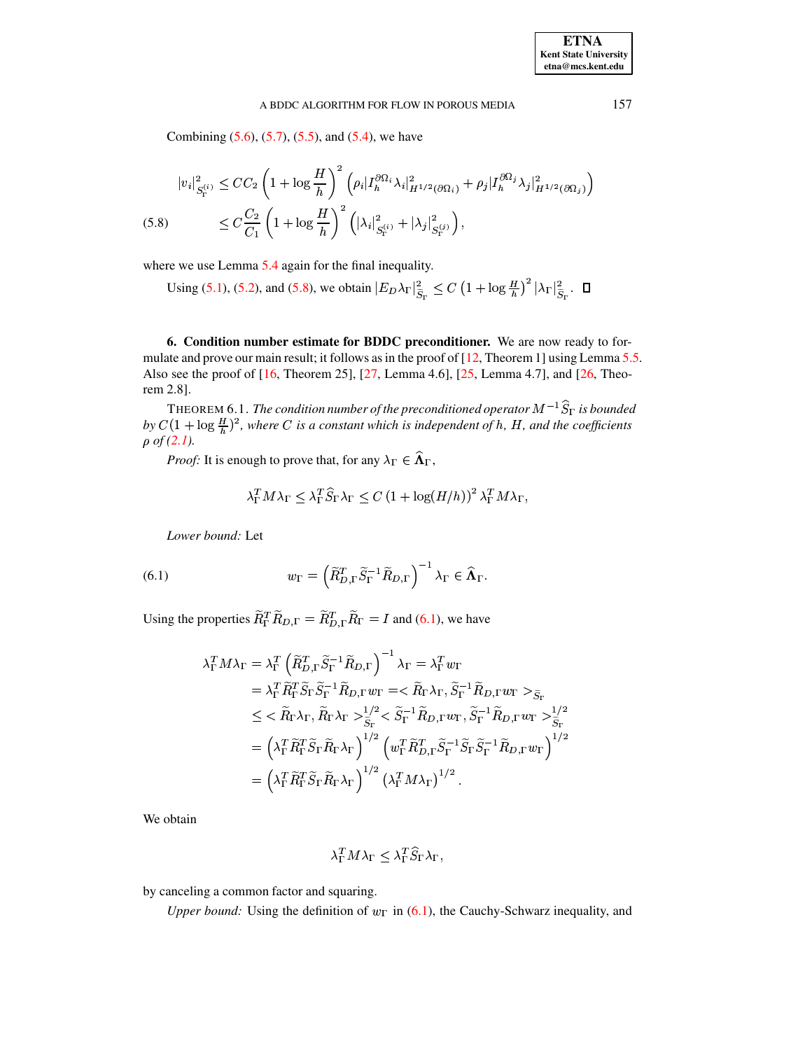Combining  $(5.6)$ ,  $(5.7)$ ,  $(5.5)$ , and  $(5.4)$ , we have

<span id="page-11-0"></span>
$$
|v_i|_{S_{\Gamma}^{(i)}}^2 \le CC_2 \left(1 + \log \frac{H}{h}\right)^2 \left(\rho_i |I_h^{\partial \Omega_i} \lambda_i|_{H^{1/2}(\partial \Omega_i)}^2 + \rho_j |I_h^{\partial \Omega_j} \lambda_j|_{H^{1/2}(\partial \Omega_j)}^2\right)
$$
  
(5.8) 
$$
\le C \frac{C_2}{C_1} \left(1 + \log \frac{H}{h}\right)^2 \left(|\lambda_i|_{S_{\Gamma}^{(i)}}^2 + |\lambda_j|_{S_{\Gamma}^{(j)}}^2\right),
$$

where we use Lemma 5.4 again for the final inequality.

Using (5.1), (5.2), and (5.8), we obtain  $|E_D \lambda_{\Gamma}|_{\tilde{S}_{\Gamma}}^2 \leq C (1 + \log \frac{H}{h})^2 |\lambda_{\Gamma}|_{\tilde{S}_{\Gamma}}^2$ .  $\Box$ 

6. Condition number estimate for BDDC preconditioner. We are now ready to formulate and prove our main result; it follows as in the proof of  $[12,$  Theorem 1] using Lemma 5.5. Also see the proof of  $[16,$  Theorem 25],  $[27,$  Lemma 4.6],  $[25,$  Lemma 4.7], and  $[26,$  Theorem 2.8].

THEOREM 6.1. The condition number of the preconditioned operator  $M^{-1}\hat{S}_{\Gamma}$  is bounded by  $C(1 + \log \frac{H}{h})^2$ , where C is a constant which is independent of h, H, and the coefficients  $\rho$  of (2.1).

*Proof:* It is enough to prove that, for any  $\lambda_{\Gamma} \in \widehat{\Lambda}_{\Gamma}$ ,

$$
\lambda_{\Gamma}^{T} M \lambda_{\Gamma} \leq \lambda_{\Gamma}^{T} \widehat{S}_{\Gamma} \lambda_{\Gamma} \leq C \left( 1 + \log(H/h) \right)^{2} \lambda_{\Gamma}^{T} M \lambda_{\Gamma}
$$

<span id="page-11-1"></span>Lower bound: Let

(6.1) 
$$
w_{\Gamma} = \left(\widetilde{R}_{D,\Gamma}^T \widetilde{S}_{\Gamma}^{-1} \widetilde{R}_{D,\Gamma}\right)^{-1} \lambda_{\Gamma} \in \widehat{\Lambda}_{\Gamma}
$$

Using the properties  $\widetilde{R}_{\Gamma}^T \widetilde{R}_{D,\Gamma} = \widetilde{R}_{D,\Gamma}^T \widetilde{R}_{\Gamma} = I$  and (6.1), we have

$$
\lambda_{\Gamma}^{T} M \lambda_{\Gamma} = \lambda_{\Gamma}^{T} \left( \tilde{R}_{D,\Gamma}^{T} \tilde{S}_{\Gamma}^{-1} \tilde{R}_{D,\Gamma} \right)^{-1} \lambda_{\Gamma} = \lambda_{\Gamma}^{T} w_{\Gamma}
$$
\n
$$
= \lambda_{\Gamma}^{T} \tilde{R}_{\Gamma}^{T} \tilde{S}_{\Gamma} \tilde{S}_{\Gamma}^{-1} \tilde{R}_{D,\Gamma} w_{\Gamma} = \langle \tilde{R}_{\Gamma} \lambda_{\Gamma}, \tilde{S}_{\Gamma}^{-1} \tilde{R}_{D,\Gamma} w_{\Gamma} \rangle_{\tilde{S}_{\Gamma}}
$$
\n
$$
\leq \langle \tilde{R}_{\Gamma} \lambda_{\Gamma}, \tilde{R}_{\Gamma} \lambda_{\Gamma} \rangle_{\tilde{S}_{\Gamma}}^{1/2} \langle \tilde{S}_{\Gamma}^{-1} \tilde{R}_{D,\Gamma} w_{\Gamma}, \tilde{S}_{\Gamma}^{-1} \tilde{R}_{D,\Gamma} w_{\Gamma} \rangle_{\tilde{S}_{\Gamma}}^{1/2}
$$
\n
$$
= \left( \lambda_{\Gamma}^{T} \tilde{R}_{\Gamma}^{T} \tilde{S}_{\Gamma} \tilde{R}_{\Gamma} \lambda_{\Gamma} \right)^{1/2} \left( w_{\Gamma}^{T} \tilde{R}_{D,\Gamma}^{T} \tilde{S}_{\Gamma}^{-1} \tilde{S}_{\Gamma} \tilde{S}_{\Gamma}^{-1} \tilde{R}_{D,\Gamma} w_{\Gamma} \right)^{1/2}
$$
\n
$$
= \left( \lambda_{\Gamma}^{T} \tilde{R}_{\Gamma}^{T} \tilde{S}_{\Gamma} \tilde{R}_{\Gamma} \lambda_{\Gamma} \right)^{1/2} \left( \lambda_{\Gamma}^{T} M \lambda_{\Gamma} \right)^{1/2}.
$$

We obtain

$$
\lambda_{\Gamma}^T M \lambda_{\Gamma} \leq \lambda_{\Gamma}^T \widehat{S}_{\Gamma} \lambda_{\Gamma},
$$

by canceling a common factor and squaring.

Upper bound: Using the definition of  $w_{\Gamma}$  in (6.1), the Cauchy-Schwarz inequality, and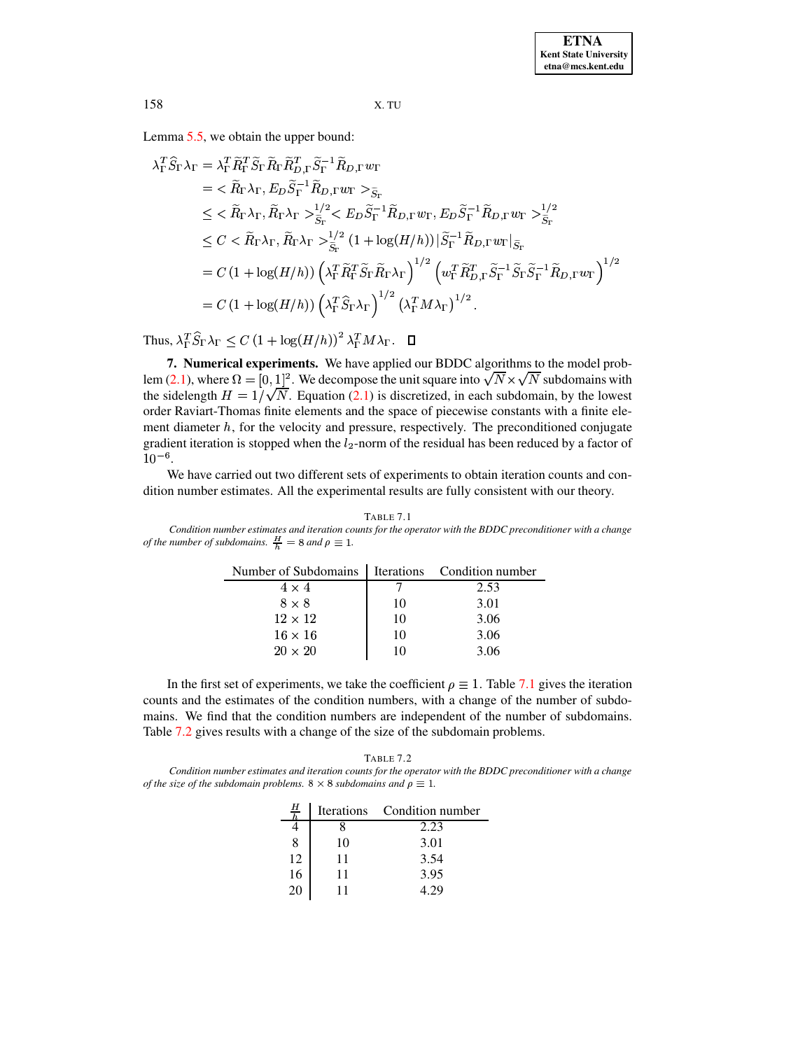Lemma [5.5,](#page-9-5) we obtain the upper bound:

$$
\lambda_{\Gamma}^T \hat{S}_{\Gamma} \lambda_{\Gamma} = \lambda_{\Gamma}^T \tilde{R}_{\Gamma}^T \tilde{S}_{\Gamma} \tilde{R}_{\Gamma} \tilde{R}_{D,\Gamma}^T \tilde{S}_{\Gamma}^{-1} \tilde{R}_{D,\Gamma} w_{\Gamma}
$$
\n
$$
= \langle \tilde{R}_{\Gamma} \lambda_{\Gamma}, E_{D} \tilde{S}_{\Gamma}^{-1} \tilde{R}_{D,\Gamma} w_{\Gamma} >_{\tilde{S}_{\Gamma}}
$$
\n
$$
\leq \langle \tilde{R}_{\Gamma} \lambda_{\Gamma}, \tilde{R}_{\Gamma} \lambda_{\Gamma} >_{\tilde{S}_{\Gamma}}^{1/2} \langle E_{D} \tilde{S}_{\Gamma}^{-1} \tilde{R}_{D,\Gamma} w_{\Gamma}, E_{D} \tilde{S}_{\Gamma}^{-1} \tilde{R}_{D,\Gamma} w_{\Gamma} >_{\tilde{S}_{\Gamma}}^{1/2}
$$
\n
$$
\leq C \langle \tilde{R}_{\Gamma} \lambda_{\Gamma}, \tilde{R}_{\Gamma} \lambda_{\Gamma} >_{\tilde{S}_{\Gamma}}^{1/2} (1 + \log(H/h)) | \tilde{S}_{\Gamma}^{-1} \tilde{R}_{D,\Gamma} w_{\Gamma} |_{\tilde{S}_{\Gamma}}
$$
\n
$$
= C (1 + \log(H/h)) \left( \lambda_{\Gamma}^T \tilde{R}_{\Gamma}^T \tilde{S}_{\Gamma} \tilde{R}_{\Gamma} \lambda_{\Gamma} \right)^{1/2} \left( w_{\Gamma}^T \tilde{R}_{D,\Gamma}^T \tilde{S}_{\Gamma}^{-1} \tilde{S}_{\Gamma} \tilde{S}_{\Gamma}^{-1} \tilde{R}_{D,\Gamma} w_{\Gamma} \right)^{1/2}
$$
\n
$$
= C (1 + \log(H/h)) \left( \lambda_{\Gamma}^T \hat{S}_{\Gamma} \lambda_{\Gamma} \right)^{1/2} \left( \lambda_{\Gamma}^T M \lambda_{\Gamma} \right)^{1/2}.
$$

Thus,  $\lambda_{\Gamma}^T S_{\Gamma} \lambda_{\Gamma} \leq C (1 + \log(H/h))^2 \lambda_{\Gamma}^T M \lambda_{\Gamma}$ .  $\Box$ 

**7. Numerical experiments.** We have applied our BDDC algorithms to the model prob-lem [\(2.1\)](#page-1-0), where  $\Omega = [0, 1]^2$ . We decompose the unit square into  $\sqrt{N} \times \sqrt{N}$  subdomains with the sidelength  $H = 1/\sqrt{N}$ . Equation [\(2.1\)](#page-1-0) is discretized, in each subdomain, by the lowest order Raviart-Thomas finite elements and the space of piecewise constants with a finite element diameter  $h$ , for the velocity and pressure, respectively. The preconditioned conjugate gradient iteration is stopped when the  $l_2$ -norm of the residual has been reduced by a factor of  $10^{-6}$ .

We have carried out two different sets of experiments to obtain iteration counts and condition number estimates. All the experimental results are fully consistent with our theory.

TABLE 7.1

<span id="page-12-0"></span>

|                                                                      | Condition number estimates and iteration counts for the operator with the BDDC preconditioner with a change |
|----------------------------------------------------------------------|-------------------------------------------------------------------------------------------------------------|
| of the number of subdomains. $\frac{H}{b} = 8$ and $\rho \equiv 1$ . |                                                                                                             |

| Number of Subdomains   Iterations Condition number |    |      |
|----------------------------------------------------|----|------|
| $4 \times 4$                                       |    | 2.53 |
| $8 \times 8$                                       | 10 | 3.01 |
| $12 \times 12$                                     | 10 | 3.06 |
| $16 \times 16$                                     | 10 | 3.06 |
| $20 \times 20$                                     | 10 | 3.06 |

In the first set of experiments, we take the coefficient  $\rho \equiv 1$ . Table [7.1](#page-12-0) gives the iteration counts and the estimates of the condition numbers, with a change of the number of subdomains. We find that the condition numbers are independent of the number of subdomains. Table [7.2](#page-12-1) gives results with a change of the size of the subdomain problems.

TABLE 7.2

<span id="page-12-1"></span>*Condition number estimates and iteration counts for the operator with the BDDC preconditioner with a change of the size of the subdomain problems.*  $8 \times 8$  *subdomains and*  $\rho \equiv 1$ *.* 

| <u>Н</u> |    | Iterations Condition number |  |
|----------|----|-----------------------------|--|
|          |    | 2.23                        |  |
| 8        | 10 | 3.01                        |  |
| 12       | 11 | 3.54                        |  |
| 16       | 11 | 3.95                        |  |
|          |    |                             |  |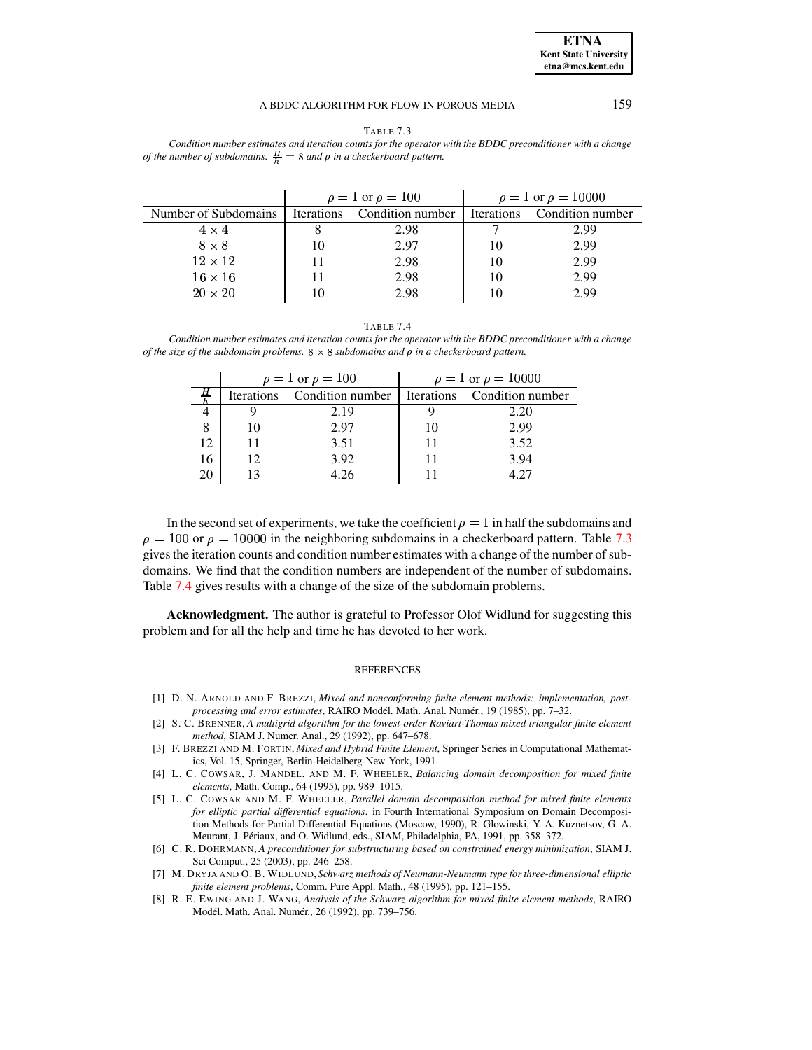

<span id="page-13-8"></span>TABLE 7.3 *Condition number estimates and iteration counts for the operator with the BDDC preconditioner with a change of the number of subdomains.*  $\frac{H}{h} = 8$  *and*  $\rho$  *in a checkerboard* pattern.

|                      | $\rho = 1$ or $\rho = 100$ |                  | $\rho = 1$ or $\rho = 10000$ |                  |
|----------------------|----------------------------|------------------|------------------------------|------------------|
| Number of Subdomains | <b>Iterations</b>          | Condition number | <b>Iterations</b>            | Condition number |
| $4 \times 4$         |                            | 2.98             |                              | 2.99             |
| $8 \times 8$         | 10                         | 2.97             | 10                           | 2.99             |
| $12 \times 12$       |                            | 2.98             | 10                           | 2.99             |
| $16 \times 16$       |                            | 2.98             | 10                           | 2.99             |
| $20 \times 20$       |                            | 2.98             | 10                           | 2.99             |

TABLE 7.4

<span id="page-13-9"></span>*Condition number estimates and iteration counts for the operator with the BDDC preconditioner with a change of the size of the subdomain problems.*  $8 \times 8$  *subdomains and*  $\rho$  *in a checkerboard pattern.* 

|    |                   | $\rho = 1$ or $\rho = 100$                     | $\rho = 1$ or $\rho = 10000$ |      |  |
|----|-------------------|------------------------------------------------|------------------------------|------|--|
|    | <b>Iterations</b> | Condition number   Iterations Condition number |                              |      |  |
|    |                   | 2.19                                           |                              | 2.20 |  |
| 8  | 10                | 2.97                                           |                              | 2.99 |  |
| 12 |                   | 3.51                                           |                              | 3.52 |  |
| 16 | 12                | 3.92                                           |                              | 3.94 |  |
|    |                   |                                                |                              |      |  |

In the second set of experiments, we take the coefficient  $\rho = 1$  in half the subdomains and  $\rho = 100$  or  $\rho = 10000$  in the neighboring subdomains in a checkerboard pattern. Table [7.3](#page-13-8) gives the iteration counts and condition number estimates with a change of the number of subdomains. We find that the condition numbers are independent of the number of subdomains. Table [7.4](#page-13-9) gives results with a change of the size of the subdomain problems.

**Acknowledgment.** The author is grateful to Professor Olof Widlund for suggesting this problem and for all the help and time he has devoted to her work.

# **REFERENCES**

- <span id="page-13-6"></span>[1] D. N. ARNOLD AND F. BREZZI, *Mixed and nonconforming finite element methods: implementation, postprocessing and error estimates*, RAIRO Model. ´ Math. Anal. Numer´ ., 19 (1985), pp. 7–32.
- <span id="page-13-7"></span>[2] S. C. BRENNER, *A multigrid algorithm for the lowest-order Raviart-Thomas mixed triangular finite element method*, SIAM J. Numer. Anal., 29 (1992), pp. 647–678.
- <span id="page-13-0"></span>[3] F. BREZZI AND M. FORTIN, *Mixed and Hybrid Finite Element*, Springer Series in Computational Mathematics, Vol. 15, Springer, Berlin-Heidelberg-New York, 1991.
- <span id="page-13-5"></span>[4] L. C. COWSAR, J. MANDEL, AND M. F. WHEELER, *Balancing domain decomposition for mixed finite elements*, Math. Comp., 64 (1995), pp. 989–1015.
- <span id="page-13-4"></span>[5] L. C. COWSAR AND M. F. WHEELER, *Parallel domain decomposition method for mixed finite elements for elliptic partial differential equations*, in Fourth International Symposium on Domain Decomposition Methods for Partial Differential Equations (Moscow, 1990), R. Glowinski, Y. A. Kuznetsov, G. A. Meurant, J. Périaux, and O. Widlund, eds., SIAM, Philadelphia, PA, 1991, pp. 358-372.
- <span id="page-13-1"></span>[6] C. R. DOHRMANN, *A preconditioner for substructuring based on constrained energy minimization*, SIAM J. Sci Comput., 25 (2003), pp. 246–258.
- <span id="page-13-3"></span><span id="page-13-2"></span>[7] M. DRYJA AND O. B. WIDLUND, *Schwarz methods of Neumann-Neumann type for three-dimensional elliptic finite element problems*, Comm. Pure Appl. Math., 48 (1995), pp. 121–155.
- [8] R. E. EWING AND J. WANG, *Analysis of the Schwarz algorithm for mixed finite element methods*, RAIRO Modél. Math. Anal. Numér., 26 (1992), pp. 739-756.